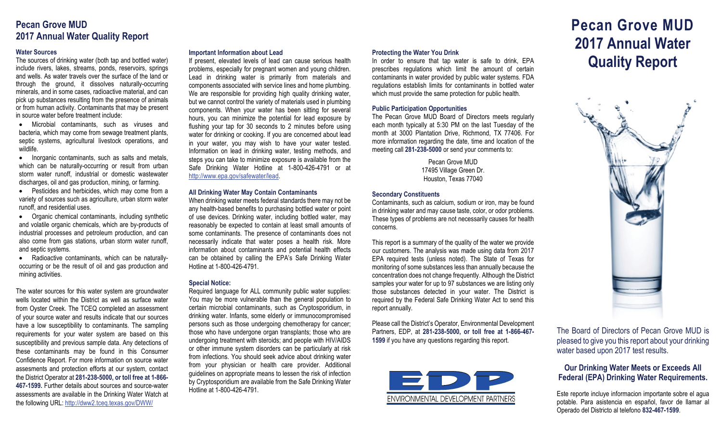# **Pecan Grove MUD 2017 Annual Water Quality Report**

# **Water Sources**

The sources of drinking water (both tap and bottled water) include rivers, lakes, streams, ponds, reservoirs, springs and wells. As water travels over the surface of the land or through the ground, it dissolves naturally-occurring minerals, and in some cases, radioactive material, and can pick up substances resulting from the presence of animals or from human activity. Contaminants that may be present in source water before treatment include:

• Microbial contaminants, such as viruses and bacteria, which may come from sewage treatment plants, septic systems, agricultural livestock operations, and wildlife.

• Inorganic contaminants, such as salts and metals, which can be naturally-occurring or result from urban storm water runoff, industrial or domestic wastewater discharges, oil and gas production, mining, or farming.

• Pesticides and herbicides, which may come from a variety of sources such as agriculture, urban storm water runoff, and residential uses.

• Organic chemical contaminants, including synthetic and volatile organic chemicals, which are by-products of industrial processes and petroleum production, and can also come from gas stations, urban storm water runoff, and septic systems.

• Radioactive contaminants, which can be naturallyoccurring or be the result of oil and gas production and mining activities.

The water sources for this water system are groundwater wells located within the District as well as surface water from Oyster Creek. The TCEQ completed an assessment of your source water and results indicate that our sources have a low susceptibility to contaminants. The sampling requirements for your water system are based on this susceptibility and previous sample data. Any detections of these contaminants may be found in this Consumer Confidence Report. For more information on source water assesments and protection efforts at our system, contact the District Operator at **281-238-5000, or toll free at 1-866- 467-1599.** Further details about sources and source-water assessments are available in the Drinking Water Watch at the following URL: http://dww2.tceq.texas.gov/DWW/

## **Important Information about Lead**

If present, elevated levels of lead can cause serious health problems, especially for pregnant women and young children. Lead in drinking water is primarily from materials and components associated with service lines and home plumbing. We are responsible for providing high quality drinking water, but we cannot control the variety of materials used in plumbing components. When your water has been sitting for several hours, you can minimize the potential for lead exposure by flushing your tap for 30 seconds to 2 minutes before using water for drinking or cooking. If you are concerned about lead in your water, you may wish to have your water tested. Information on lead in drinking water, testing methods, and steps you can take to minimize exposure is available from the Safe Drinking Water Hotline at 1-800-426-4791 or at [http://www.epa.gov/safewater/lead.](http://www.epa.gov/safewater/lead)

#### **All Drinking Water May Contain Contaminants**

When drinking water meets federal standards there may not be any health-based benefits to purchasing bottled water or point of use devices. Drinking water, including bottled water, may reasonably be expected to contain at least small amounts of some contaminants. The presence of contaminants does not necessarily indicate that water poses a health risk. More information about contaminants and potential health effects can be obtained by calling the EPA's Safe Drinking Water Hotline at 1-800-426-4791.

# **Special Notice:**

Required language for ALL community public water supplies: You may be more vulnerable than the general population to certain microbial contaminants, such as Cryptosporidium, in drinking water. Infants, some elderly or immunocompromised persons such as those undergoing chemotherapy for cancer; those who have undergone organ transplants; those who are undergoing treatment with steroids; and people with HIV/AIDS or other immune system disorders can be particularly at risk from infections. You should seek advice about drinking water from your physician or health care provider. Additional guidelines on appropriate means to lessen the risk of infection by Cryptosporidium are available from the Safe Drinking Water Hotline at 1-800-426-4791.

In order to ensure that tap water is safe to drink, EPA prescribes regulations which limit the amount of certain contaminants in water provided by public water systems. FDA regulations establish limits for contaminants in bottled water which must provide the same protection for public health.

# **Public Participation Opportunities**

The Pecan Grove MUD Board of Directors meets regularly each month typically at 5:30 PM on the last Tuesday of the month at 3000 Plantation Drive, Richmond, TX 77406. For more information regarding the date, time and location of the meeting call **281-238-5000** or send your comments to:

> Pecan Grove MUD 17495 Village Green Dr. Houston, Texas 77040

## **Secondary Constituents**

Contaminants, such as calcium, sodium or iron, may be found in drinking water and may cause taste, color, or odor problems. These types of problems are not necessarily causes for health concerns.

This report is a summary of the quality of the water we provide our customers. The analysis was made using data from 2017 EPA required tests (unless noted). The State of Texas for monitoring of some substances less than annually because the concentration does not change frequently. Although the District samples your water for up to 97 substances we are listing only those substances detected in your water. The District is required by the Federal Safe Drinking Water Act to send this report annually.

Please call the District's Operator, Environmental Development Partners, EDP, at **281-238-5000, or toll free at 1-866-467- 1599** if you have any questions regarding this report.



# **Pecan Grove MUD 2017 Annual Water** Protecting the Water You Drink<br>In order to ensure that tap water is safe to drink, EPA<br>**Proportional conduct on the conduct** of ecrtain



The Board of Directors of Pecan Grove MUD is pleased to give you this report about your drinking water based upon 2017 test results.

# **Our Drinking Water Meets or Exceeds All Federal (EPA) Drinking Water Requirements.**

Este reporte incluye informacion importante sobre el agua potable. Para asistencia en español, favor de llamar al Operado del Districto al telefono **832-467-1599**.